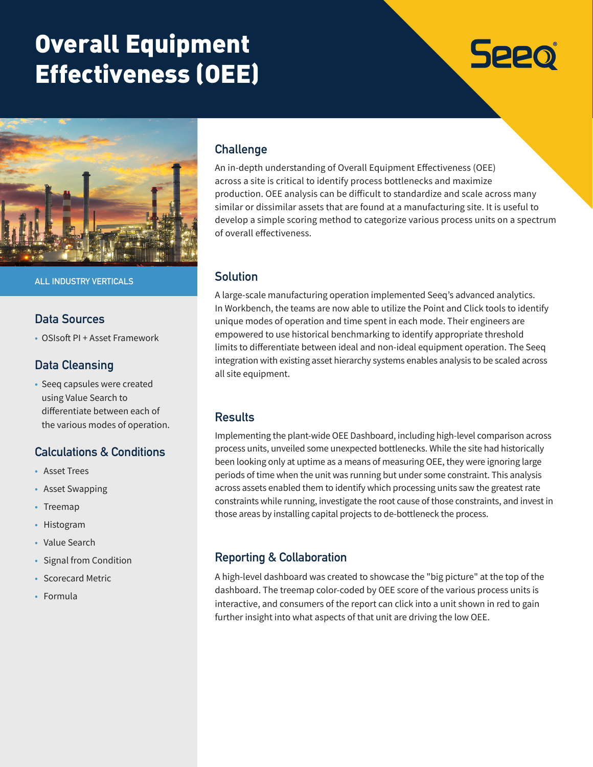# Overall Equipment Effectiveness (OEE)





**ALL INDUSTRY VERTICALS**

## **Data Sources**

• OSIsoft PI + Asset Framework

## **Data Cleansing**

• Seeq capsules were created using Value Search to differentiate between each of the various modes of operation.

## **Calculations & Conditions**

- Asset Trees
- Asset Swapping
- Treemap
- Histogram
- Value Search
- Signal from Condition
- Scorecard Metric
- Formula

# **Challenge**

An in-depth understanding of Overall Equipment Effectiveness (OEE) across a site is critical to identify process bottlenecks and maximize production. OEE analysis can be difficult to standardize and scale across many similar or dissimilar assets that are found at a manufacturing site. It is useful to develop a simple scoring method to categorize various process units on a spectrum of overall effectiveness.

## **Solution**

A large-scale manufacturing operation implemented Seeq's advanced analytics. In Workbench, the teams are now able to utilize the Point and Click tools to identify unique modes of operation and time spent in each mode. Their engineers are empowered to use historical benchmarking to identify appropriate threshold limits to differentiate between ideal and non-ideal equipment operation. The Seeq integration with existing asset hierarchy systems enables analysis to be scaled across all site equipment.

## **Results**

Implementing the plant-wide OEE Dashboard, including high-level comparison across process units, unveiled some unexpected bottlenecks. While the site had historically been looking only at uptime as a means of measuring OEE, they were ignoring large periods of time when the unit was running but under some constraint. This analysis across assets enabled them to identify which processing units saw the greatest rate constraints while running, investigate the root cause of those constraints, and invest in those areas by installing capital projects to de-bottleneck the process.

## **Reporting & Collaboration**

A high-level dashboard was created to showcase the "big picture" at the top of the dashboard. The treemap color-coded by OEE score of the various process units is interactive, and consumers of the report can click into a unit shown in red to gain further insight into what aspects of that unit are driving the low OEE.